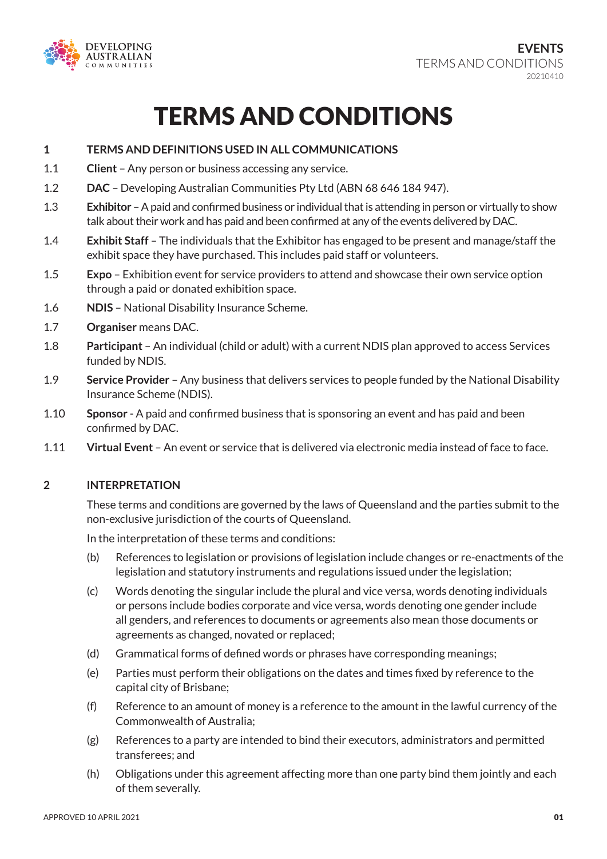

# TERMS AND CONDITIONS

- **1 TERMS AND DEFINITIONS USED IN ALL COMMUNICATIONS**
- 1.1 **Client** Any person or business accessing any service.
- 1.2 **DAC** Developing Australian Communities Pty Ltd (ABN 68 646 184 947).
- 1.3 **Exhibitor** A paid and confirmed business or individual that is attending in person or virtually to show talk about their work and has paid and been confirmed at any of the events delivered by DAC.
- 1.4 **Exhibit Staff**  The individuals that the Exhibitor has engaged to be present and manage/staff the exhibit space they have purchased. This includes paid staff or volunteers.
- 1.5 **Expo** Exhibition event for service providers to attend and showcase their own service option through a paid or donated exhibition space.
- 1.6 **NDIS** National Disability Insurance Scheme.
- 1.7 **Organiser** means DAC.
- 1.8 **Participant** An individual (child or adult) with a current NDIS plan approved to access Services funded by NDIS.
- 1.9 **Service Provider** Any business that delivers services to people funded by the National Disability Insurance Scheme (NDIS).
- 1.10 **Sponsor** A paid and confirmed business that is sponsoring an event and has paid and been confirmed by DAC.
- 1.11 **Virtual Event** An event or service that is delivered via electronic media instead of face to face.

### **2 INTERPRETATION**

These terms and conditions are governed by the laws of Queensland and the parties submit to the non-exclusive jurisdiction of the courts of Queensland.

In the interpretation of these terms and conditions:

- (b) References to legislation or provisions of legislation include changes or re-enactments of the legislation and statutory instruments and regulations issued under the legislation;
- (c) Words denoting the singular include the plural and vice versa, words denoting individuals or persons include bodies corporate and vice versa, words denoting one gender include all genders, and references to documents or agreements also mean those documents or agreements as changed, novated or replaced;
- (d) Grammatical forms of defined words or phrases have corresponding meanings;
- (e) Parties must perform their obligations on the dates and times fixed by reference to the capital city of Brisbane;
- (f) Reference to an amount of money is a reference to the amount in the lawful currency of the Commonwealth of Australia;
- (g) References to a party are intended to bind their executors, administrators and permitted transferees; and
- (h) Obligations under this agreement affecting more than one party bind them jointly and each of them severally.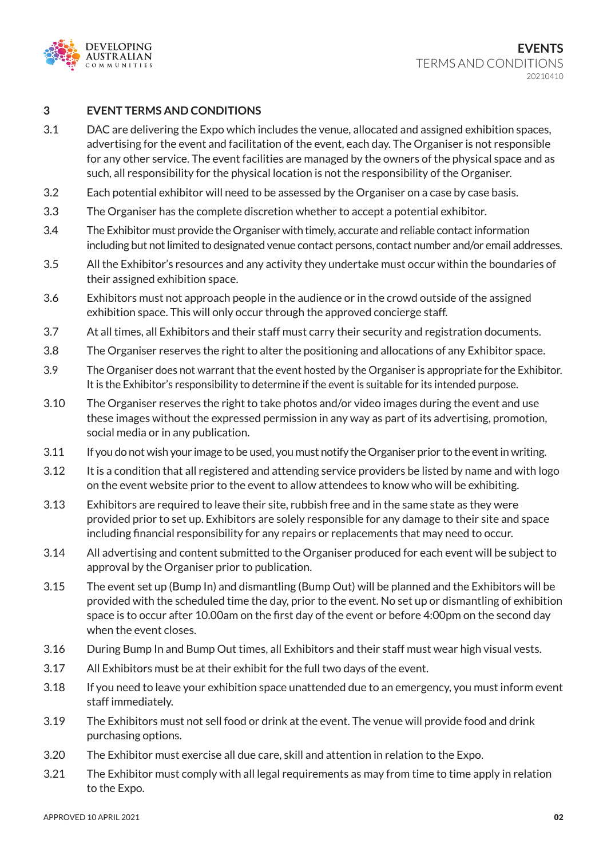

#### **3 EVENT TERMS AND CONDITIONS**

- 3.1 DAC are delivering the Expo which includes the venue, allocated and assigned exhibition spaces, advertising for the event and facilitation of the event, each day. The Organiser is not responsible for any other service. The event facilities are managed by the owners of the physical space and as such, all responsibility for the physical location is not the responsibility of the Organiser.
- 3.2 Each potential exhibitor will need to be assessed by the Organiser on a case by case basis.
- 3.3 The Organiser has the complete discretion whether to accept a potential exhibitor.
- 3.4 The Exhibitor must provide the Organiser with timely, accurate and reliable contact information including but not limited to designated venue contact persons, contact number and/or email addresses.
- 3.5 All the Exhibitor's resources and any activity they undertake must occur within the boundaries of their assigned exhibition space.
- 3.6 Exhibitors must not approach people in the audience or in the crowd outside of the assigned exhibition space. This will only occur through the approved concierge staff.
- 3.7 At all times, all Exhibitors and their staff must carry their security and registration documents.
- 3.8 The Organiser reserves the right to alter the positioning and allocations of any Exhibitor space.
- 3.9 The Organiser does not warrant that the event hosted by the Organiser is appropriate for the Exhibitor. It is the Exhibitor's responsibility to determine if the event is suitable for its intended purpose.
- 3.10 The Organiser reserves the right to take photos and/or video images during the event and use these images without the expressed permission in any way as part of its advertising, promotion, social media or in any publication.
- 3.11 If you do not wish your image to be used, you must notify the Organiser prior to the event in writing.
- 3.12 It is a condition that all registered and attending service providers be listed by name and with logo on the event website prior to the event to allow attendees to know who will be exhibiting.
- 3.13 Exhibitors are required to leave their site, rubbish free and in the same state as they were provided prior to set up. Exhibitors are solely responsible for any damage to their site and space including financial responsibility for any repairs or replacements that may need to occur.
- 3.14 All advertising and content submitted to the Organiser produced for each event will be subject to approval by the Organiser prior to publication.
- 3.15 The event set up (Bump In) and dismantling (Bump Out) will be planned and the Exhibitors will be provided with the scheduled time the day, prior to the event. No set up or dismantling of exhibition space is to occur after 10.00am on the first day of the event or before 4:00pm on the second day when the event closes.
- 3.16 During Bump In and Bump Out times, all Exhibitors and their staff must wear high visual vests.
- 3.17 All Exhibitors must be at their exhibit for the full two days of the event.
- 3.18 If you need to leave your exhibition space unattended due to an emergency, you must inform event staff immediately.
- 3.19 The Exhibitors must not sell food or drink at the event. The venue will provide food and drink purchasing options.
- 3.20 The Exhibitor must exercise all due care, skill and attention in relation to the Expo.
- 3.21 The Exhibitor must comply with all legal requirements as may from time to time apply in relation to the Expo.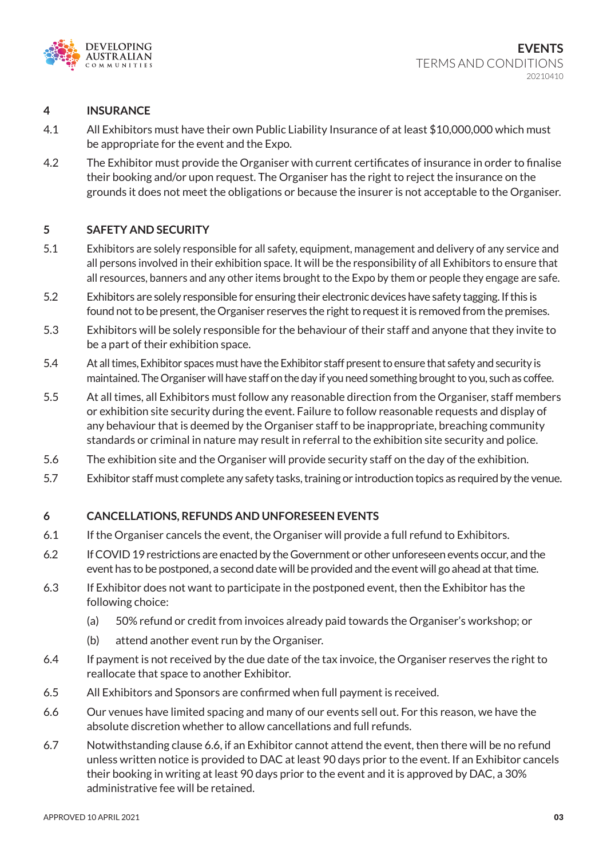

#### **4 INSURANCE**

- 4.1 All Exhibitors must have their own Public Liability Insurance of at least \$10,000,000 which must be appropriate for the event and the Expo.
- 4.2 The Exhibitor must provide the Organiser with current certificates of insurance in order to finalise their booking and/or upon request. The Organiser has the right to reject the insurance on the grounds it does not meet the obligations or because the insurer is not acceptable to the Organiser.

#### **5 SAFETY AND SECURITY**

- 5.1 Exhibitors are solely responsible for all safety, equipment, management and delivery of any service and all persons involved in their exhibition space. It will be the responsibility of all Exhibitors to ensure that all resources, banners and any other items brought to the Expo by them or people they engage are safe.
- 5.2 Exhibitors are solely responsible for ensuring their electronic devices have safety tagging. If this is found not to be present, the Organiser reserves the right to request it is removed from the premises.
- 5.3 Exhibitors will be solely responsible for the behaviour of their staff and anyone that they invite to be a part of their exhibition space.
- 5.4 At all times, Exhibitor spaces must have the Exhibitor staff present to ensure that safety and security is maintained. The Organiser will have staff on the day if you need something brought to you, such as coffee.
- 5.5 At all times, all Exhibitors must follow any reasonable direction from the Organiser, staff members or exhibition site security during the event. Failure to follow reasonable requests and display of any behaviour that is deemed by the Organiser staff to be inappropriate, breaching community standards or criminal in nature may result in referral to the exhibition site security and police.
- 5.6 The exhibition site and the Organiser will provide security staff on the day of the exhibition.
- 5.7 Exhibitor staff must complete any safety tasks, training or introduction topics as required by the venue.

### **6 CANCELLATIONS, REFUNDS AND UNFORESEEN EVENTS**

- 6.1 If the Organiser cancels the event, the Organiser will provide a full refund to Exhibitors.
- 6.2 If COVID 19 restrictions are enacted by the Government or other unforeseen events occur, and the event has to be postponed, a second date will be provided and the event will go ahead at that time.
- 6.3 If Exhibitor does not want to participate in the postponed event, then the Exhibitor has the following choice:
	- (a) 50% refund or credit from invoices already paid towards the Organiser's workshop; or
	- (b) attend another event run by the Organiser.
- 6.4 If payment is not received by the due date of the tax invoice, the Organiser reserves the right to reallocate that space to another Exhibitor.
- 6.5 All Exhibitors and Sponsors are confirmed when full payment is received.
- 6.6 Our venues have limited spacing and many of our events sell out. For this reason, we have the absolute discretion whether to allow cancellations and full refunds.
- 6.7 Notwithstanding clause 6.6, if an Exhibitor cannot attend the event, then there will be no refund unless written notice is provided to DAC at least 90 days prior to the event. If an Exhibitor cancels their booking in writing at least 90 days prior to the event and it is approved by DAC, a 30% administrative fee will be retained.